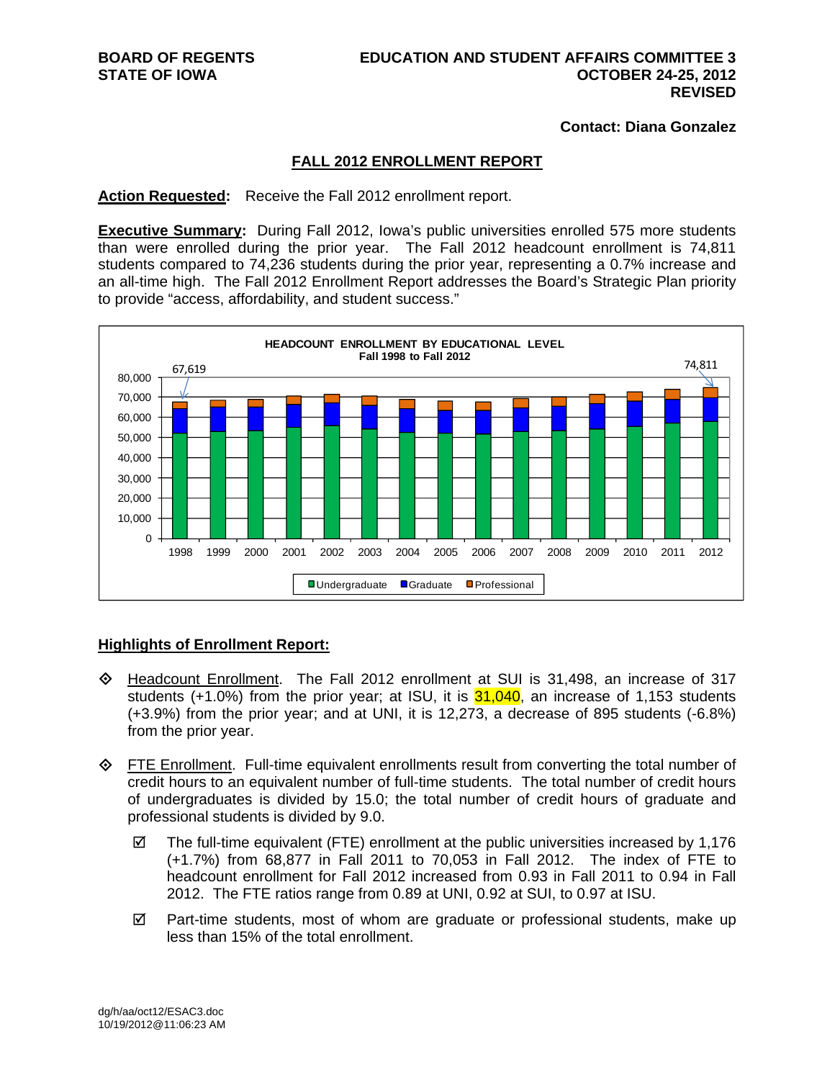**Contact: Diana Gonzalez** 

## **FALL 2012 ENROLLMENT REPORT**

**Action Requested:** Receive the Fall 2012 enrollment report.

**Executive Summary:** During Fall 2012, Iowa's public universities enrolled 575 more students than were enrolled during the prior year. The Fall 2012 headcount enrollment is 74,811 students compared to 74,236 students during the prior year, representing a 0.7% increase and an all-time high. The Fall 2012 Enrollment Report addresses the Board's Strategic Plan priority to provide "access, affordability, and student success."



### **Highlights of Enrollment Report:**

- Headcount Enrollment. The Fall 2012 enrollment at SUI is 31,498, an increase of 317 students  $(+1.0\%)$  from the prior year; at ISU, it is  $31,040$ , an increase of 1,153 students (+3.9%) from the prior year; and at UNI, it is 12,273, a decrease of 895 students (-6.8%) from the prior year.
- **FIFE Enrollment.** Full-time equivalent enrollments result from converting the total number of credit hours to an equivalent number of full-time students. The total number of credit hours of undergraduates is divided by 15.0; the total number of credit hours of graduate and professional students is divided by 9.0.
	- $\boxtimes$  The full-time equivalent (FTE) enrollment at the public universities increased by 1,176 (+1.7%) from 68,877 in Fall 2011 to 70,053 in Fall 2012. The index of FTE to headcount enrollment for Fall 2012 increased from 0.93 in Fall 2011 to 0.94 in Fall 2012. The FTE ratios range from 0.89 at UNI, 0.92 at SUI, to 0.97 at ISU.
	- $\boxtimes$  Part-time students, most of whom are graduate or professional students, make up less than 15% of the total enrollment.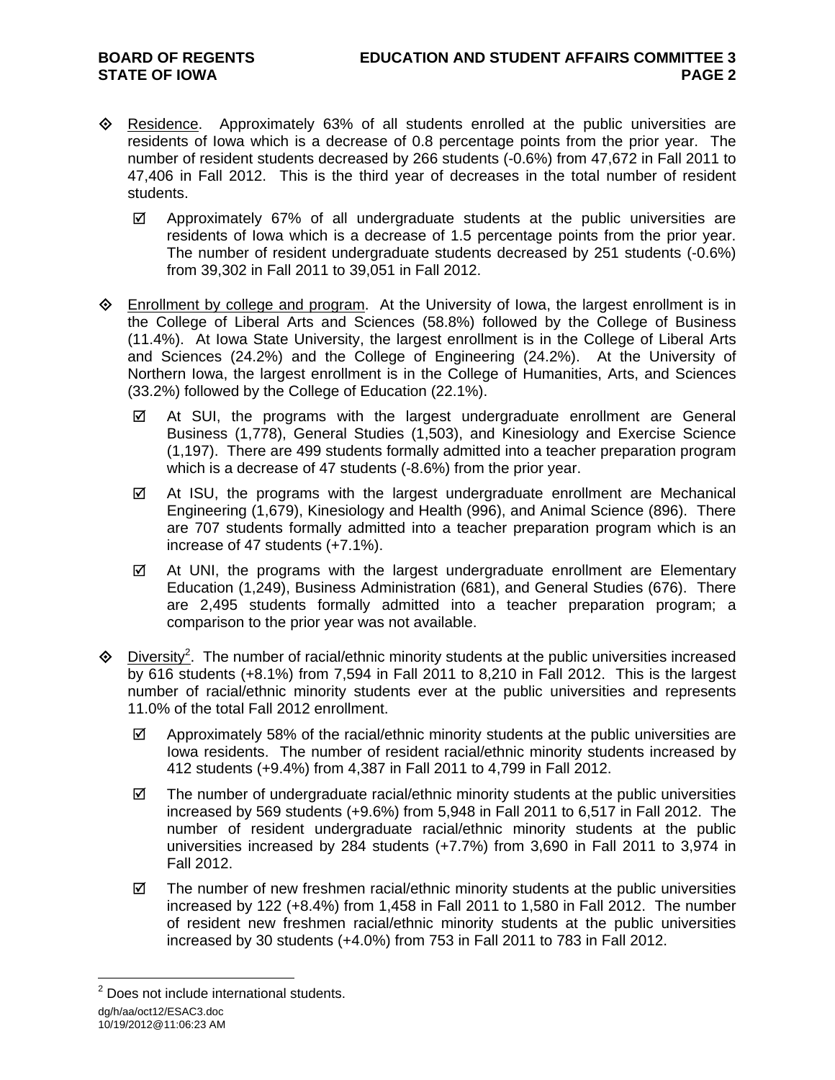- $\Diamond$  Residence. Approximately 63% of all students enrolled at the public universities are residents of Iowa which is a decrease of 0.8 percentage points from the prior year. The number of resident students decreased by 266 students (-0.6%) from 47,672 in Fall 2011 to 47,406 in Fall 2012. This is the third year of decreases in the total number of resident students.
	- $\boxtimes$  Approximately 67% of all undergraduate students at the public universities are residents of Iowa which is a decrease of 1.5 percentage points from the prior year. The number of resident undergraduate students decreased by 251 students (-0.6%) from 39,302 in Fall 2011 to 39,051 in Fall 2012.
- $\Diamond$  Enrollment by college and program. At the University of Iowa, the largest enrollment is in the College of Liberal Arts and Sciences (58.8%) followed by the College of Business (11.4%). At Iowa State University, the largest enrollment is in the College of Liberal Arts and Sciences (24.2%) and the College of Engineering (24.2%). At the University of Northern Iowa, the largest enrollment is in the College of Humanities, Arts, and Sciences (33.2%) followed by the College of Education (22.1%).
	- $\boxtimes$  At SUI, the programs with the largest undergraduate enrollment are General Business (1,778), General Studies (1,503), and Kinesiology and Exercise Science (1,197). There are 499 students formally admitted into a teacher preparation program which is a decrease of 47 students (-8.6%) from the prior year.
	- $\boxtimes$  At ISU, the programs with the largest undergraduate enrollment are Mechanical Engineering (1,679), Kinesiology and Health (996), and Animal Science (896). There are 707 students formally admitted into a teacher preparation program which is an increase of 47 students (+7.1%).
	- $\boxtimes$  At UNI, the programs with the largest undergraduate enrollment are Elementary Education (1,249), Business Administration (681), and General Studies (676). There are 2,495 students formally admitted into a teacher preparation program; a comparison to the prior year was not available.
- $\Diamond$  Diversity<sup>2</sup>. The number of racial/ethnic minority students at the public universities increased by 616 students (+8.1%) from 7,594 in Fall 2011 to 8,210 in Fall 2012. This is the largest number of racial/ethnic minority students ever at the public universities and represents 11.0% of the total Fall 2012 enrollment.
	- $\boxtimes$  Approximately 58% of the racial/ethnic minority students at the public universities are Iowa residents. The number of resident racial/ethnic minority students increased by 412 students (+9.4%) from 4,387 in Fall 2011 to 4,799 in Fall 2012.
	- $\boxtimes$  The number of undergraduate racial/ethnic minority students at the public universities increased by 569 students (+9.6%) from 5,948 in Fall 2011 to 6,517 in Fall 2012. The number of resident undergraduate racial/ethnic minority students at the public universities increased by 284 students (+7.7%) from 3,690 in Fall 2011 to 3,974 in Fall 2012.
	- $\boxtimes$  The number of new freshmen racial/ethnic minority students at the public universities increased by 122 (+8.4%) from 1,458 in Fall 2011 to 1,580 in Fall 2012. The number of resident new freshmen racial/ethnic minority students at the public universities increased by 30 students (+4.0%) from 753 in Fall 2011 to 783 in Fall 2012.

dg/h/aa/oct12/ESAC3.doc <sup>2</sup> Does not include international students.

<sup>10/19/2012@11:06:23</sup> AM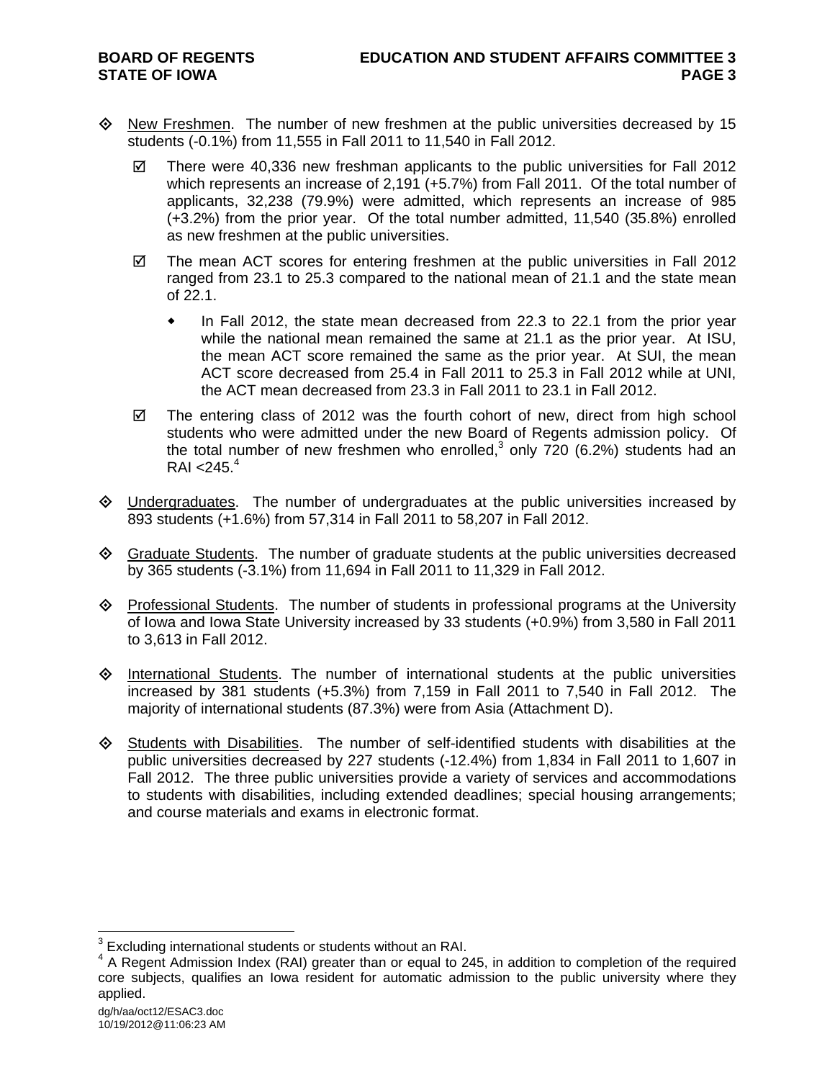- $\diamond$  New Freshmen. The number of new freshmen at the public universities decreased by 15 students (-0.1%) from 11,555 in Fall 2011 to 11,540 in Fall 2012.
	- $\boxtimes$  There were 40,336 new freshman applicants to the public universities for Fall 2012 which represents an increase of 2,191 (+5.7%) from Fall 2011. Of the total number of applicants, 32,238 (79.9%) were admitted, which represents an increase of 985 (+3.2%) from the prior year. Of the total number admitted, 11,540 (35.8%) enrolled as new freshmen at the public universities.
	- $\boxtimes$  The mean ACT scores for entering freshmen at the public universities in Fall 2012 ranged from 23.1 to 25.3 compared to the national mean of 21.1 and the state mean of 22.1.
		- In Fall 2012, the state mean decreased from 22.3 to 22.1 from the prior year while the national mean remained the same at 21.1 as the prior year. At ISU, the mean ACT score remained the same as the prior year. At SUI, the mean ACT score decreased from 25.4 in Fall 2011 to 25.3 in Fall 2012 while at UNI, the ACT mean decreased from 23.3 in Fall 2011 to 23.1 in Fall 2012.
	- $\boxtimes$  The entering class of 2012 was the fourth cohort of new, direct from high school students who were admitted under the new Board of Regents admission policy. Of the total number of new freshmen who enrolled, $3$  only 720 (6.2%) students had an  $RAI < 245.<sup>4</sup>$
- $\Diamond$  Undergraduates. The number of undergraduates at the public universities increased by 893 students (+1.6%) from 57,314 in Fall 2011 to 58,207 in Fall 2012.
- $\Diamond$  Graduate Students. The number of graduate students at the public universities decreased by 365 students (-3.1%) from 11,694 in Fall 2011 to 11,329 in Fall 2012.
- $\Diamond$  Professional Students. The number of students in professional programs at the University of Iowa and Iowa State University increased by 33 students (+0.9%) from 3,580 in Fall 2011 to 3,613 in Fall 2012.
- $\Diamond$  International Students. The number of international students at the public universities increased by 381 students (+5.3%) from 7,159 in Fall 2011 to 7,540 in Fall 2012. The majority of international students (87.3%) were from Asia (Attachment D).
- $\Diamond$  Students with Disabilities. The number of self-identified students with disabilities at the public universities decreased by 227 students (-12.4%) from 1,834 in Fall 2011 to 1,607 in Fall 2012. The three public universities provide a variety of services and accommodations to students with disabilities, including extended deadlines; special housing arrangements; and course materials and exams in electronic format.

 $3$  Excluding international students or students without an RAI.

<sup>&</sup>lt;sup>4</sup> A Regent Admission Index (RAI) greater than or equal to 245, in addition to completion of the required core subjects, qualifies an Iowa resident for automatic admission to the public university where they applied.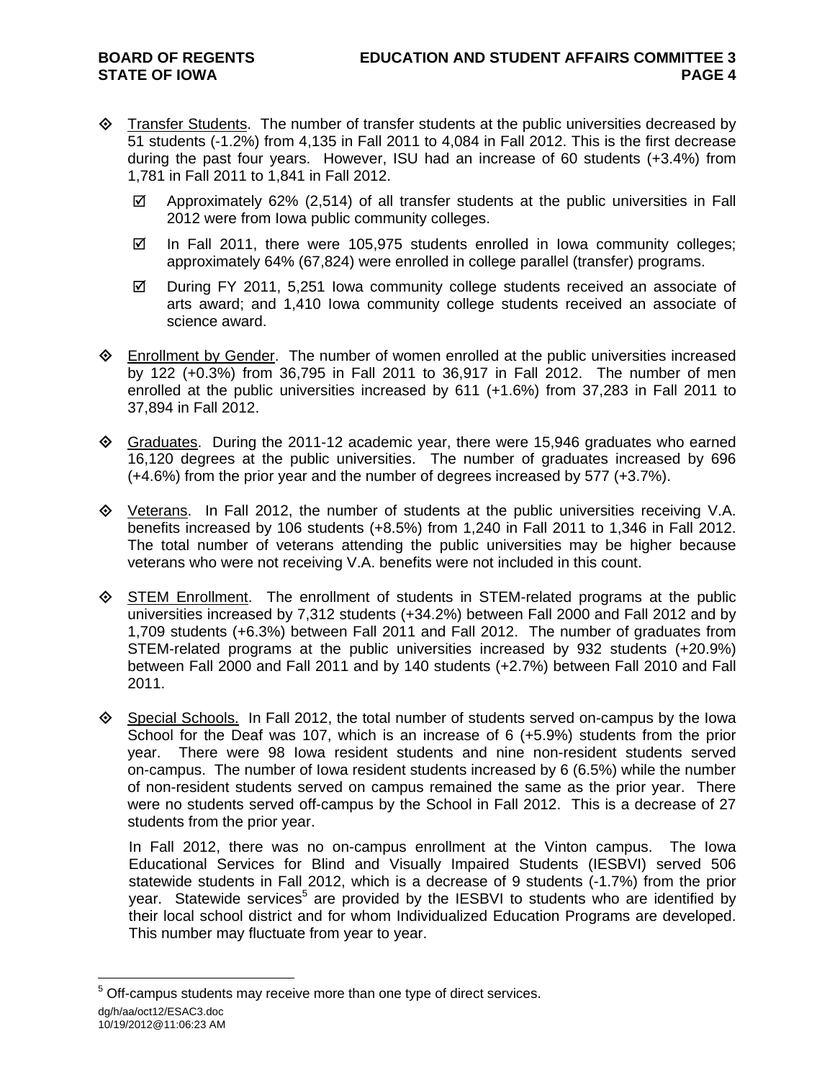- $\Diamond$  Transfer Students. The number of transfer students at the public universities decreased by 51 students (-1.2%) from 4,135 in Fall 2011 to 4,084 in Fall 2012. This is the first decrease during the past four years. However, ISU had an increase of 60 students (+3.4%) from 1,781 in Fall 2011 to 1,841 in Fall 2012.
	- $\boxtimes$  Approximately 62% (2,514) of all transfer students at the public universities in Fall 2012 were from Iowa public community colleges.
	- $\boxtimes$  In Fall 2011, there were 105,975 students enrolled in Iowa community colleges; approximately 64% (67,824) were enrolled in college parallel (transfer) programs.
	- $\boxtimes$  During FY 2011, 5,251 Iowa community college students received an associate of arts award; and 1,410 Iowa community college students received an associate of science award.
- $\Diamond$  Enrollment by Gender. The number of women enrolled at the public universities increased by 122 (+0.3%) from 36,795 in Fall 2011 to 36,917 in Fall 2012. The number of men enrolled at the public universities increased by 611 (+1.6%) from 37,283 in Fall 2011 to 37,894 in Fall 2012.
- $\Diamond$  Graduates. During the 2011-12 academic year, there were 15,946 graduates who earned 16,120 degrees at the public universities. The number of graduates increased by 696 (+4.6%) from the prior year and the number of degrees increased by 577 (+3.7%).
- $\Diamond$  Veterans. In Fall 2012, the number of students at the public universities receiving V.A. benefits increased by 106 students (+8.5%) from 1,240 in Fall 2011 to 1,346 in Fall 2012. The total number of veterans attending the public universities may be higher because veterans who were not receiving V.A. benefits were not included in this count.
- $\diamondsuit$  STEM Enrollment. The enrollment of students in STEM-related programs at the public universities increased by 7,312 students (+34.2%) between Fall 2000 and Fall 2012 and by 1,709 students (+6.3%) between Fall 2011 and Fall 2012. The number of graduates from STEM-related programs at the public universities increased by 932 students (+20.9%) between Fall 2000 and Fall 2011 and by 140 students (+2.7%) between Fall 2010 and Fall 2011.
- $\diamond$  Special Schools. In Fall 2012, the total number of students served on-campus by the Iowa School for the Deaf was 107, which is an increase of 6 (+5.9%) students from the prior year. There were 98 Iowa resident students and nine non-resident students served on-campus. The number of Iowa resident students increased by 6 (6.5%) while the number of non-resident students served on campus remained the same as the prior year. There were no students served off-campus by the School in Fall 2012. This is a decrease of 27 students from the prior year.

In Fall 2012, there was no on-campus enrollment at the Vinton campus. The Iowa Educational Services for Blind and Visually Impaired Students (IESBVI) served 506 statewide students in Fall 2012, which is a decrease of 9 students (-1.7%) from the prior year. Statewide services<sup>5</sup> are provided by the IESBVI to students who are identified by their local school district and for whom Individualized Education Programs are developed. This number may fluctuate from year to year.

dg/h/aa/oct12/ESAC3.doc 10/19/2012@11:06:23 AM  $5$  Off-campus students may receive more than one type of direct services.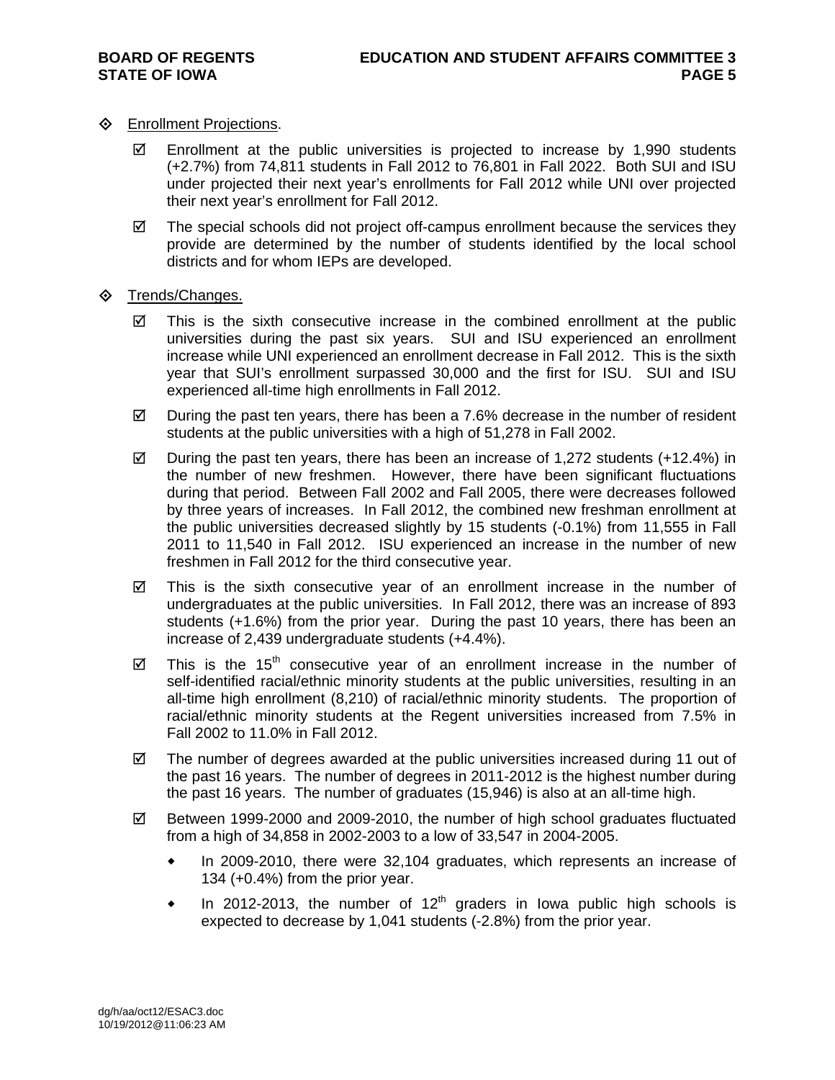## **♦** Enrollment Projections.

- $\boxtimes$  Enrollment at the public universities is projected to increase by 1,990 students (+2.7%) from 74,811 students in Fall 2012 to 76,801 in Fall 2022. Both SUI and ISU under projected their next year's enrollments for Fall 2012 while UNI over projected their next year's enrollment for Fall 2012.
- $\boxtimes$  The special schools did not project off-campus enrollment because the services they provide are determined by the number of students identified by the local school districts and for whom IEPs are developed.
- **♦ Trends/Changes.** 
	- $\boxtimes$  This is the sixth consecutive increase in the combined enrollment at the public universities during the past six years. SUI and ISU experienced an enrollment increase while UNI experienced an enrollment decrease in Fall 2012. This is the sixth year that SUI's enrollment surpassed 30,000 and the first for ISU. SUI and ISU experienced all-time high enrollments in Fall 2012.
	- $\boxtimes$  During the past ten years, there has been a 7.6% decrease in the number of resident students at the public universities with a high of 51,278 in Fall 2002.
	- $\boxtimes$  During the past ten years, there has been an increase of 1,272 students (+12.4%) in the number of new freshmen. However, there have been significant fluctuations during that period. Between Fall 2002 and Fall 2005, there were decreases followed by three years of increases. In Fall 2012, the combined new freshman enrollment at the public universities decreased slightly by 15 students (-0.1%) from 11,555 in Fall 2011 to 11,540 in Fall 2012. ISU experienced an increase in the number of new freshmen in Fall 2012 for the third consecutive year.
	- $\boxtimes$  This is the sixth consecutive year of an enrollment increase in the number of undergraduates at the public universities. In Fall 2012, there was an increase of 893 students (+1.6%) from the prior year. During the past 10 years, there has been an increase of 2,439 undergraduate students (+4.4%).
	- $\boxtimes$  This is the 15<sup>th</sup> consecutive year of an enrollment increase in the number of self-identified racial/ethnic minority students at the public universities, resulting in an all-time high enrollment (8,210) of racial/ethnic minority students. The proportion of racial/ethnic minority students at the Regent universities increased from 7.5% in Fall 2002 to 11.0% in Fall 2012.
	- $\boxtimes$  The number of degrees awarded at the public universities increased during 11 out of the past 16 years. The number of degrees in 2011-2012 is the highest number during the past 16 years. The number of graduates (15,946) is also at an all-time high.
	- $\boxtimes$  Between 1999-2000 and 2009-2010, the number of high school graduates fluctuated from a high of 34,858 in 2002-2003 to a low of 33,547 in 2004-2005.
		- In 2009-2010, there were 32,104 graduates, which represents an increase of 134 (+0.4%) from the prior year.
		- In 2012-2013, the number of 12<sup>th</sup> graders in Iowa public high schools is expected to decrease by 1,041 students (-2.8%) from the prior year.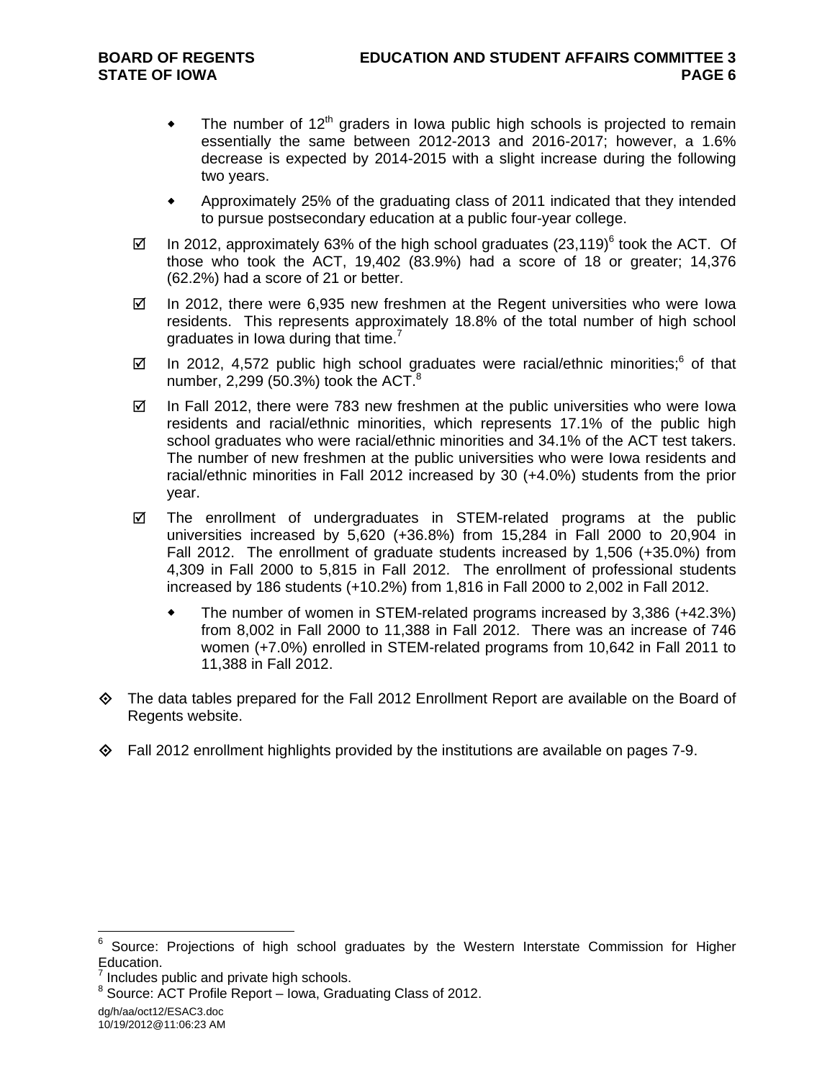- $\bullet$  The number of 12<sup>th</sup> graders in Iowa public high schools is projected to remain essentially the same between 2012-2013 and 2016-2017; however, a 1.6% decrease is expected by 2014-2015 with a slight increase during the following two years.
- Approximately 25% of the graduating class of 2011 indicated that they intended to pursue postsecondary education at a public four-year college.
- $\boxtimes$  In 2012, approximately 63% of the high school graduates (23,119)<sup>6</sup> took the ACT. Of those who took the ACT, 19,402 (83.9%) had a score of 18 or greater; 14,376 (62.2%) had a score of 21 or better.
- $\boxtimes$  In 2012, there were 6,935 new freshmen at the Regent universities who were lowa residents. This represents approximately 18.8% of the total number of high school graduates in Iowa during that time. $<sup>7</sup>$ </sup>
- $\boxtimes$  In 2012, 4,572 public high school graduates were racial/ethnic minorities;<sup>6</sup> of that number, 2,299 (50.3%) took the ACT. $8$
- $\boxtimes$  In Fall 2012, there were 783 new freshmen at the public universities who were lowa residents and racial/ethnic minorities, which represents 17.1% of the public high school graduates who were racial/ethnic minorities and 34.1% of the ACT test takers. The number of new freshmen at the public universities who were Iowa residents and racial/ethnic minorities in Fall 2012 increased by 30 (+4.0%) students from the prior year.
- $\boxtimes$  The enrollment of undergraduates in STEM-related programs at the public universities increased by 5,620 (+36.8%) from 15,284 in Fall 2000 to 20,904 in Fall 2012. The enrollment of graduate students increased by 1,506 (+35.0%) from 4,309 in Fall 2000 to 5,815 in Fall 2012. The enrollment of professional students increased by 186 students (+10.2%) from 1,816 in Fall 2000 to 2,002 in Fall 2012.
	- The number of women in STEM-related programs increased by 3,386 (+42.3%) from 8,002 in Fall 2000 to 11,388 in Fall 2012. There was an increase of 746 women (+7.0%) enrolled in STEM-related programs from 10,642 in Fall 2011 to 11,388 in Fall 2012.
- $\Diamond$  The data tables prepared for the Fall 2012 Enrollment Report are available on the Board of Regents website.
- $\Diamond$  Fall 2012 enrollment highlights provided by the institutions are available on pages 7-9.

dg/h/aa/oct12/ESAC3.doc 10/19/2012@11:06:23 AM

<sup>6</sup> Source: Projections of high school graduates by the Western Interstate Commission for Higher Education.

<sup>7</sup> Includes public and private high schools.

<sup>&</sup>lt;sup>8</sup> Source: ACT Profile Report – Iowa, Graduating Class of 2012.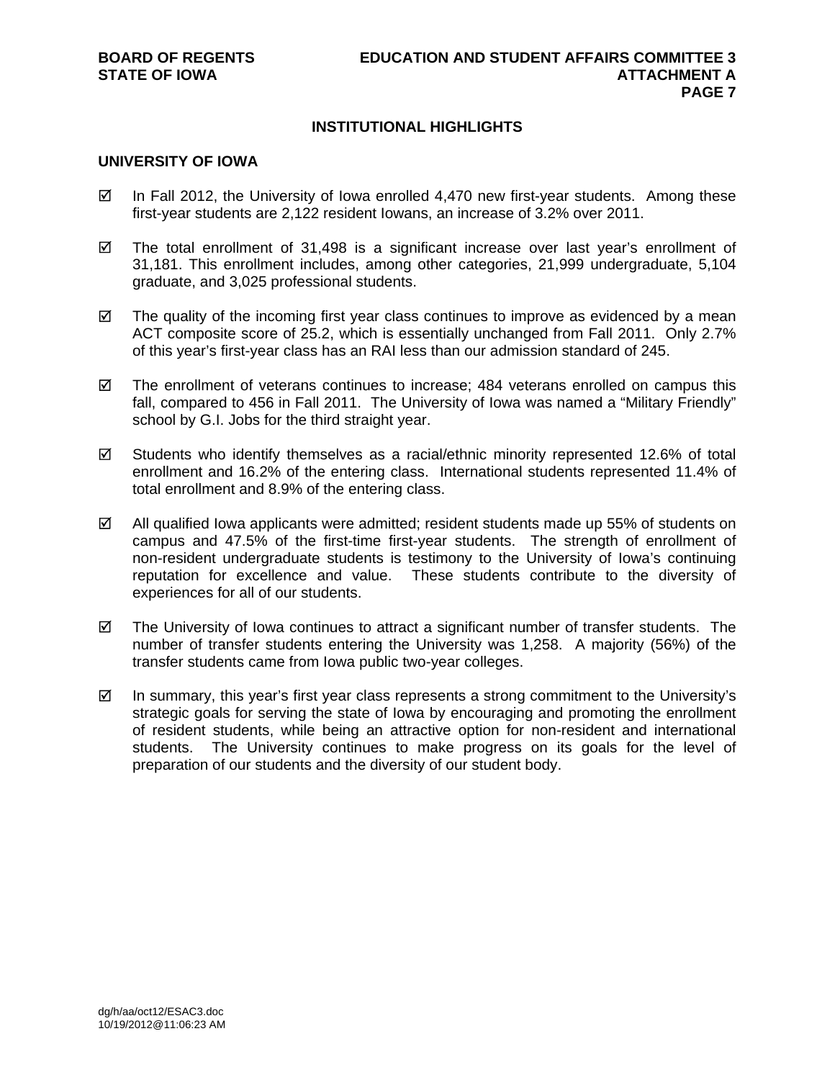## **INSTITUTIONAL HIGHLIGHTS**

#### **UNIVERSITY OF IOWA**

- $\boxtimes$  In Fall 2012, the University of Iowa enrolled 4,470 new first-year students. Among these first-year students are 2,122 resident Iowans, an increase of 3.2% over 2011.
- $\boxtimes$  The total enrollment of 31,498 is a significant increase over last year's enrollment of 31,181. This enrollment includes, among other categories, 21,999 undergraduate, 5,104 graduate, and 3,025 professional students.
- $\boxtimes$  The quality of the incoming first year class continues to improve as evidenced by a mean ACT composite score of 25.2, which is essentially unchanged from Fall 2011. Only 2.7% of this year's first-year class has an RAI less than our admission standard of 245.
- $\boxtimes$  The enrollment of veterans continues to increase; 484 veterans enrolled on campus this fall, compared to 456 in Fall 2011. The University of Iowa was named a "Military Friendly" school by G.I. Jobs for the third straight year.
- $\boxtimes$  Students who identify themselves as a racial/ethnic minority represented 12.6% of total enrollment and 16.2% of the entering class. International students represented 11.4% of total enrollment and 8.9% of the entering class.
- $\boxtimes$  All qualified Iowa applicants were admitted; resident students made up 55% of students on campus and 47.5% of the first-time first-year students. The strength of enrollment of non-resident undergraduate students is testimony to the University of Iowa's continuing reputation for excellence and value. These students contribute to the diversity of experiences for all of our students.
- $\boxtimes$  The University of Iowa continues to attract a significant number of transfer students. The number of transfer students entering the University was 1,258. A majority (56%) of the transfer students came from Iowa public two-year colleges.
- $\boxtimes$  In summary, this year's first year class represents a strong commitment to the University's strategic goals for serving the state of Iowa by encouraging and promoting the enrollment of resident students, while being an attractive option for non-resident and international students. The University continues to make progress on its goals for the level of preparation of our students and the diversity of our student body.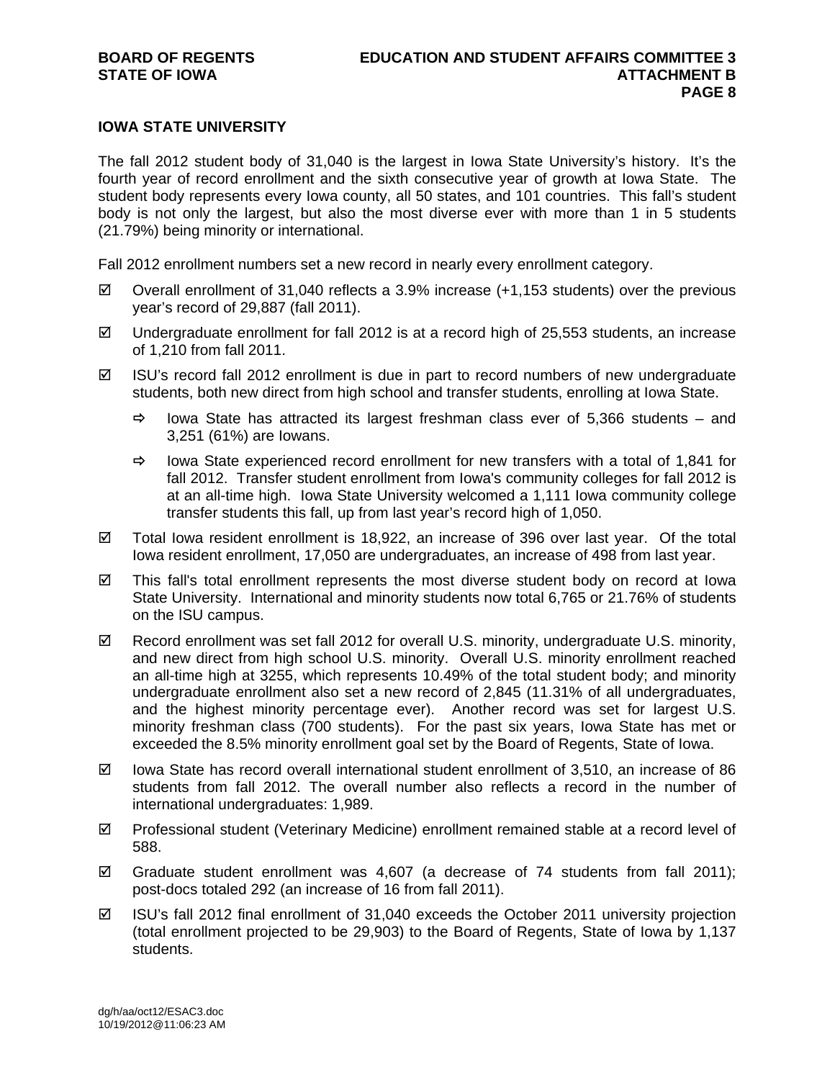### **IOWA STATE UNIVERSITY**

The fall 2012 student body of 31,040 is the largest in Iowa State University's history. It's the fourth year of record enrollment and the sixth consecutive year of growth at Iowa State. The student body represents every Iowa county, all 50 states, and 101 countries. This fall's student body is not only the largest, but also the most diverse ever with more than 1 in 5 students (21.79%) being minority or international.

Fall 2012 enrollment numbers set a new record in nearly every enrollment category.

- $\boxtimes$  Overall enrollment of 31,040 reflects a 3.9% increase (+1,153 students) over the previous year's record of 29,887 (fall 2011).
- $\boxtimes$  Undergraduate enrollment for fall 2012 is at a record high of 25,553 students, an increase of 1,210 from fall 2011.
- $\boxtimes$  ISU's record fall 2012 enrollment is due in part to record numbers of new undergraduate students, both new direct from high school and transfer students, enrolling at Iowa State.
	- $\Rightarrow$  lowa State has attracted its largest freshman class ever of 5,366 students and 3,251 (61%) are Iowans.
	- $\Rightarrow$  lowa State experienced record enrollment for new transfers with a total of 1,841 for fall 2012. Transfer student enrollment from Iowa's community colleges for fall 2012 is at an all-time high. Iowa State University welcomed a 1,111 Iowa community college transfer students this fall, up from last year's record high of 1,050.
- $\boxtimes$  Total lowa resident enrollment is 18,922, an increase of 396 over last year. Of the total Iowa resident enrollment, 17,050 are undergraduates, an increase of 498 from last year.
- $\boxtimes$  This fall's total enrollment represents the most diverse student body on record at Iowa State University. International and minority students now total 6,765 or 21.76% of students on the ISU campus.
- Record enrollment was set fall 2012 for overall U.S. minority, undergraduate U.S. minority, and new direct from high school U.S. minority. Overall U.S. minority enrollment reached an all-time high at 3255, which represents 10.49% of the total student body; and minority undergraduate enrollment also set a new record of 2,845 (11.31% of all undergraduates, and the highest minority percentage ever). Another record was set for largest U.S. minority freshman class (700 students). For the past six years, Iowa State has met or exceeded the 8.5% minority enrollment goal set by the Board of Regents, State of Iowa.
- $\boxtimes$  lowa State has record overall international student enrollment of 3,510, an increase of 86 students from fall 2012. The overall number also reflects a record in the number of international undergraduates: 1,989.
- $\boxtimes$  Professional student (Veterinary Medicine) enrollment remained stable at a record level of 588.
- $\boxtimes$  Graduate student enrollment was 4,607 (a decrease of 74 students from fall 2011); post-docs totaled 292 (an increase of 16 from fall 2011).
- ISU's fall 2012 final enrollment of 31,040 exceeds the October 2011 university projection (total enrollment projected to be 29,903) to the Board of Regents, State of Iowa by 1,137 students.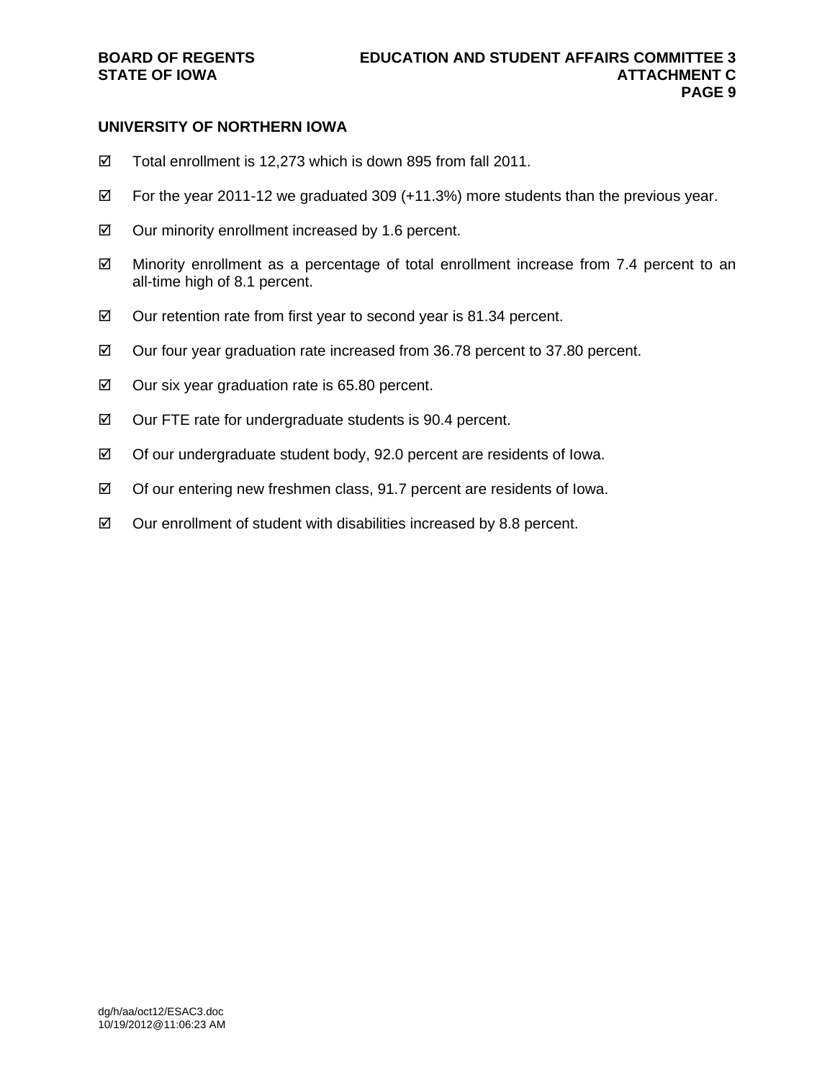### **UNIVERSITY OF NORTHERN IOWA**

- Total enrollment is 12,273 which is down 895 from fall 2011.
- $\boxtimes$  For the year 2011-12 we graduated 309 (+11.3%) more students than the previous year.
- $\boxtimes$  Our minority enrollment increased by 1.6 percent.
- $\boxtimes$  Minority enrollment as a percentage of total enrollment increase from 7.4 percent to an all-time high of 8.1 percent.
- $\boxtimes$  Our retention rate from first year to second year is 81.34 percent.
- $\boxtimes$  Our four year graduation rate increased from 36.78 percent to 37.80 percent.
- $\boxtimes$  Our six year graduation rate is 65.80 percent.
- $\boxtimes$  Our FTE rate for undergraduate students is 90.4 percent.
- $\boxtimes$  Of our undergraduate student body, 92.0 percent are residents of Iowa.
- $\boxtimes$  Of our entering new freshmen class, 91.7 percent are residents of lowa.
- $\boxtimes$  Our enrollment of student with disabilities increased by 8.8 percent.